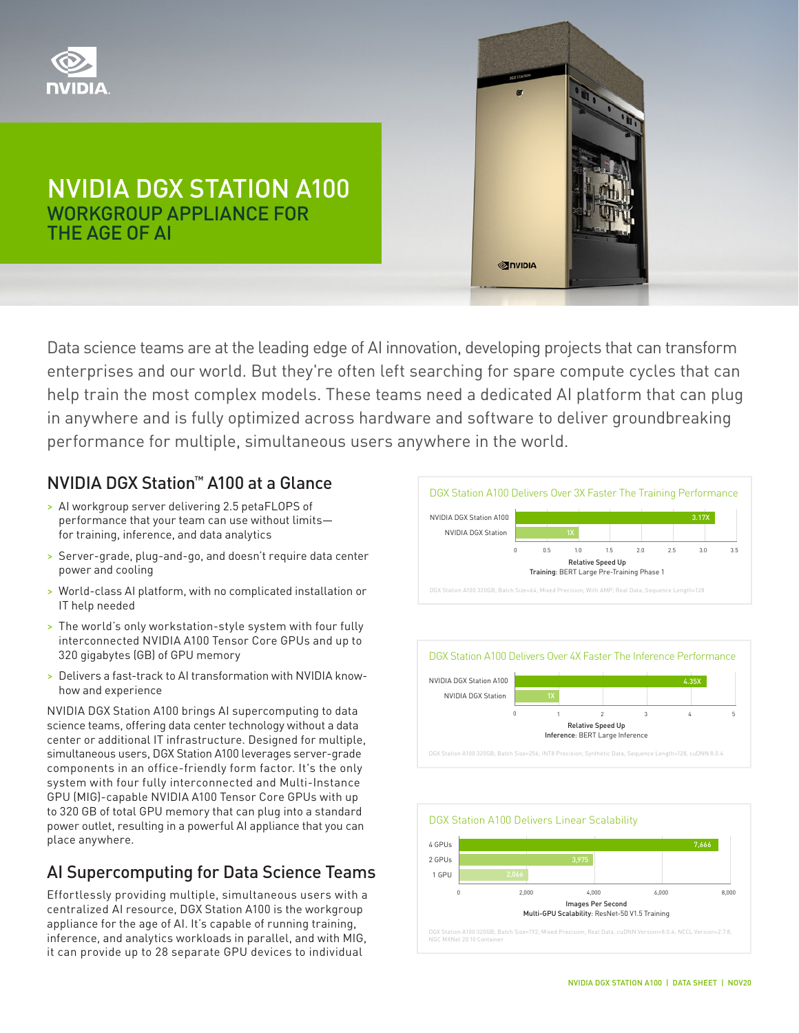

# NVIDIA DGX STATION A100 WORKGROUP APPLIANCE FOR THE AGE OF AI

Data science teams are at the leading edge of AI innovation, developing projects that can transform enterprises and our world. But they're often left searching for spare compute cycles that can help train the most complex models. These teams need a dedicated AI platform that can plug in anywhere and is fully optimized across hardware and software to deliver groundbreaking performance for multiple, simultaneous users anywhere in the world.

## NVIDIA DGX Station™ A100 at a Glance

- > AI workgroup server delivering 2.5 petaFLOPS of performance that your team can use without limits for training, inference, and data analytics
- > Server-grade, plug-and-go, and doesn't require data center power and cooling
- > World-class AI platform, with no complicated installation or IT help needed
- > The world's only workstation-style system with four fully interconnected NVIDIA A100 Tensor Core GPUs and up to 320 gigabytes (GB) of GPU memory
- > Delivers a fast-track to AI transformation with NVIDIA knowhow and experience

NVIDIA DGX Station A100 brings AI supercomputing to data science teams, offering data center technology without a data center or additional IT infrastructure. Designed for multiple, simultaneous users, DGX Station A100 leverages server-grade components in an office-friendly form factor. It's the only system with four fully interconnected and Multi-Instance GPU (MIG)-capable NVIDIA A100 Tensor Core GPUs with up to 320 GB of total GPU memory that can plug into a standard power outlet, resulting in a powerful AI appliance that you can place anywhere.

## AI Supercomputing for Data Science Teams

Effortlessly providing multiple, simultaneous users with a centralized AI resource, DGX Station A100 is the workgroup appliance for the age of AI. It's capable of running training, inference, and analytics workloads in parallel, and with MIG, it can provide up to 28 separate GPU devices to individual



**SINIDIA**